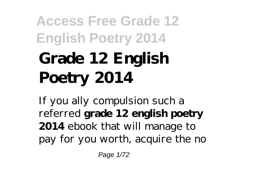# **Access Free Grade 12 English Poetry 2014 Grade 12 English Poetry 2014**

If you ally compulsion such a referred **grade 12 english poetry 2014** ebook that will manage to pay for you worth, acquire the no

Page 1/72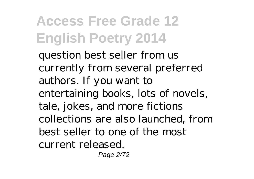question best seller from us currently from several preferred authors. If you want to entertaining books, lots of novels, tale, jokes, and more fictions collections are also launched, from best seller to one of the most current released.

Page 2/72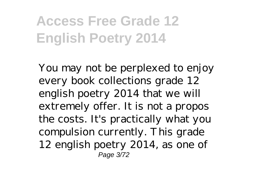You may not be perplexed to enjoy every book collections grade 12 english poetry 2014 that we will extremely offer. It is not a propos the costs. It's practically what you compulsion currently. This grade 12 english poetry 2014, as one of Page 3/72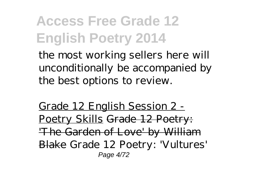the most working sellers here will unconditionally be accompanied by the best options to review.

Grade 12 English Session 2 - Poetry Skills Grade 12 Poetry: 'The Garden of Love' by William Blake *Grade 12 Poetry: 'Vultures'* Page 4/72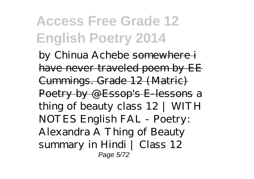*by Chinua Achebe* somewhere i have never traveled poem by EE Cummings. Grade 12 (Matric) Poetry by @Essop's E-lessons *a thing of beauty class 12 | WITH NOTES English FAL - Poetry: Alexandra A Thing of Beauty summary in Hindi | Class 12* Page 5/72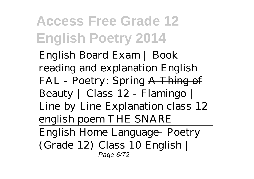*English Board Exam | Book reading and explanation* English FAL - Poetry: Spring A Thing of  $Beauty + Class 12 - Flamingo +$ Line by Line Explanation *class 12 english poem THE SNARE* English Home Language- Poetry (Grade 12) Class 10 English | Page 6/72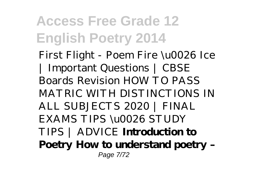First Flight - Poem Fire \u0026 Ice | Important Questions | CBSE Boards Revision *HOW TO PASS MATRIC WITH DISTINCTIONS IN ALL SUBJECTS 2020 | FINAL EXAMS TIPS \u0026 STUDY TIPS | ADVICE* **Introduction to Poetry How to understand poetry –** Page 7/72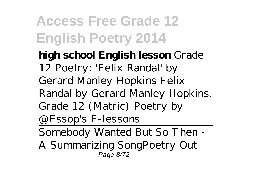- **high school English lesson** Grade 12 Poetry: 'Felix Randal' by Gerard Manley Hopkins Felix Randal by Gerard Manley Hopkins. Grade 12 (Matric) Poetry by @Essop's E-lessons
- Somebody Wanted But So Then -
- A Summarizing SongPoetry Out Page 8/72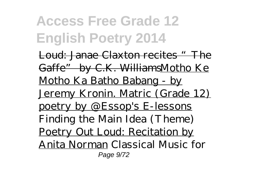**Access Free Grade 12 English Poetry 2014** Loud: Janae Claxton recites "The Gaffe" by C.K. WilliamsMotho Ke

Motho Ka Batho Babang - by Jeremy Kronin. Matric (Grade 12) poetry by @Essop's E-lessons Finding the Main Idea (Theme) Poetry Out Loud: Recitation by Anita Norman Classical Music for Page 9/72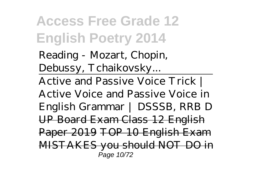Reading - Mozart, Chopin, Debussy, Tchaikovsky...

Active and Passive Voice Trick | Active Voice and Passive Voice in English Grammar | DSSSB, RRB D UP Board Exam Class 12 English Paper 2019 TOP 10 English Exam MISTAKES you should NOT DO in Page 10/72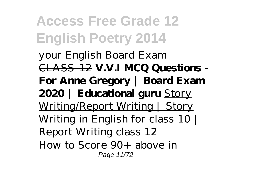your English Board Exam CLASS-12 **V.V.I MCQ Questions - For Anne Gregory | Board Exam 2020 | Educational guru** Story Writing/Report Writing | Story Writing in English for class 10 | Report Writing class 12

How to Score 90+ above in Page 11/72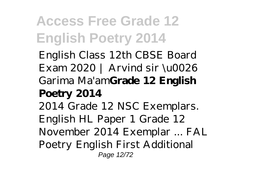English Class 12th CBSE Board Exam 2020 | Arvind sir \u0026 Garima Ma'am**Grade 12 English Poetry 2014** 2014 Grade 12 NSC Exemplars. English HL Paper 1 Grade 12 November 2014 Exemplar ... FAL Poetry English First Additional Page 12/72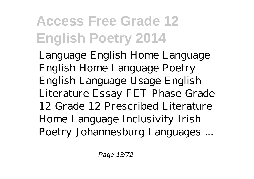Language English Home Language English Home Language Poetry English Language Usage English Literature Essay FET Phase Grade 12 Grade 12 Prescribed Literature Home Language Inclusivity Irish Poetry Johannesburg Languages ...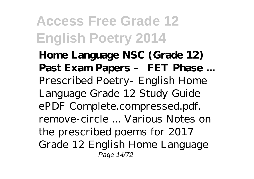**Home Language NSC (Grade 12) Past Exam Papers – FET Phase ...** Prescribed Poetry- English Home Language Grade 12 Study Guide ePDF Complete.compressed.pdf. remove-circle ... Various Notes on the prescribed poems for 2017 Grade 12 English Home Language Page 14/72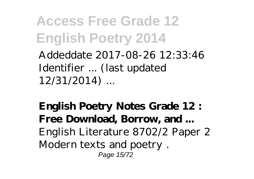Addeddate 2017-08-26 12:33:46 Identifier ... (last updated 12/31/2014) ...

**English Poetry Notes Grade 12 : Free Download, Borrow, and ...** English Literature 8702/2 Paper 2 Modern texts and poetry . Page 15/72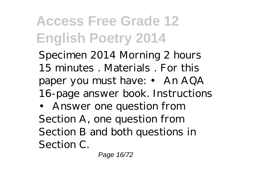Specimen 2014 Morning 2 hours 15 minutes . Materials . For this paper you must have: • An AQA 16-page answer book. Instructions • Answer one question from Section A, one question from Section B and both questions in Section C.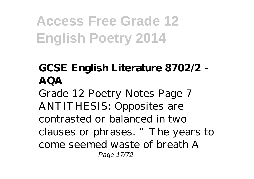#### **GCSE English Literature 8702/2 - AQA**

Grade 12 Poetry Notes Page 7 ANTITHESIS: Opposites are contrasted or balanced in two clauses or phrases. "The years to come seemed waste of breath A Page 17/72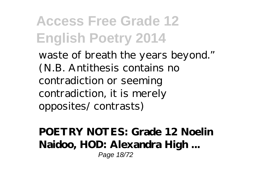waste of breath the years beyond." (N.B. Antithesis contains no contradiction or seeming contradiction, it is merely opposites/ contrasts)

**POETRY NOTES: Grade 12 Noelin Naidoo, HOD: Alexandra High ...** Page 18/72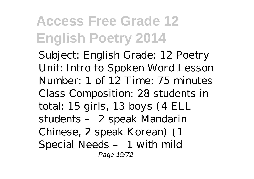Subject: English Grade: 12 Poetry Unit: Intro to Spoken Word Lesson Number: 1 of 12 Time: 75 minutes Class Composition: 28 students in total: 15 girls, 13 boys (4 ELL students – 2 speak Mandarin Chinese, 2 speak Korean) (1 Special Needs – 1 with mild Page 19/72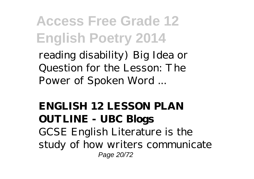reading disability) Big Idea or Question for the Lesson: The Power of Spoken Word ...

#### **ENGLISH 12 LESSON PLAN OUTLINE - UBC Blogs** GCSE English Literature is the study of how writers communicate Page 20/72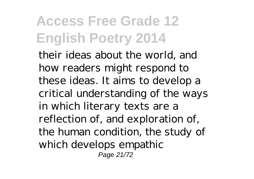their ideas about the world, and how readers might respond to these ideas. It aims to develop a critical understanding of the ways in which literary texts are a reflection of, and exploration of, the human condition, the study of which develops empathic Page 21/72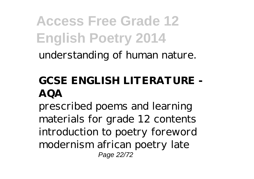**Access Free Grade 12 English Poetry 2014** understanding of human nature.

#### **GCSE ENGLISH LITERATURE - AQA**

prescribed poems and learning materials for grade 12 contents introduction to poetry foreword modernism african poetry late Page 22/72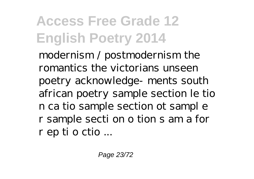modernism / postmodernism the romantics the victorians unseen poetry acknowledge- ments south african poetry sample section le tio n ca tio sample section ot sampl e r sample secti on o tion s am a for r ep ti o ctio ...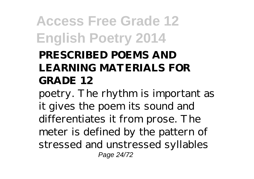#### **PRESCRIBED POEMS AND LEARNING MATERIALS FOR GRADE 12**

poetry. The rhythm is important as it gives the poem its sound and differentiates it from prose. The meter is defined by the pattern of stressed and unstressed syllables Page 24/72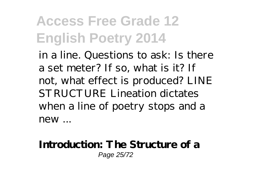in a line. Questions to ask: Is there a set meter? If so, what is it? If not, what effect is produced? LINE STRUCTURE Lineation dictates when a line of poetry stops and a new ...

#### **Introduction: The Structure of a** Page 25/72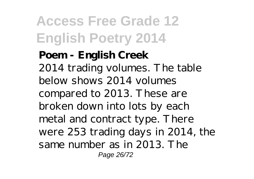**Poem - English Creek** 2014 trading volumes. The table below shows 2014 volumes compared to 2013. These are broken down into lots by each metal and contract type. There were 253 trading days in 2014, the same number as in 2013. The Page 26/72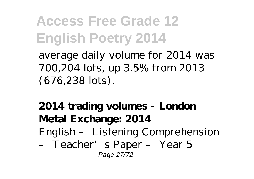average daily volume for 2014 was 700,204 lots, up 3.5% from 2013 (676,238 lots).

**2014 trading volumes - London Metal Exchange: 2014** English – Listening Comprehension – Teacher's Paper – Year 5 Page 27/72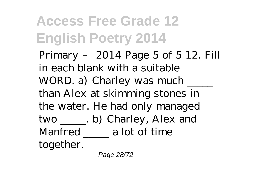Primary – 2014 Page 5 of 5 12. Fill in each blank with a suitable WORD. a) Charley was much than Alex at skimming stones in the water. He had only managed two \_\_\_\_\_. b) Charley, Alex and Manfred a lot of time together.

Page 28/72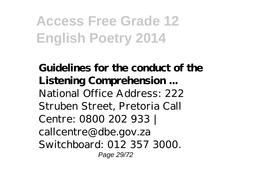**Guidelines for the conduct of the Listening Comprehension ...** National Office Address: 222 Struben Street, Pretoria Call Centre: 0800 202 933 | callcentre@dbe.gov.za Switchboard: 012 357 3000. Page 29/72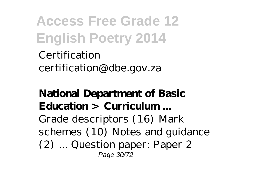Certification certification@dbe.gov.za

#### **National Department of Basic Education > Curriculum ...** Grade descriptors (16) Mark schemes (10) Notes and guidance (2) ... Question paper: Paper 2 Page 30/72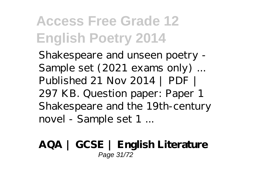Shakespeare and unseen poetry - Sample set (2021 exams only) ... Published 21 Nov 2014 | PDF | 297 KB. Question paper: Paper 1 Shakespeare and the 19th-century novel - Sample set 1 ...

#### **AQA | GCSE | English Literature** Page 31/72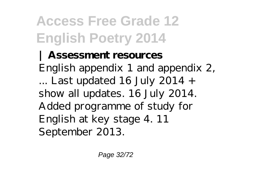**| Assessment resources** English appendix 1 and appendix 2, ... Last updated 16 July 2014  $+$ show all updates. 16 July 2014. Added programme of study for English at key stage 4. 11 September 2013.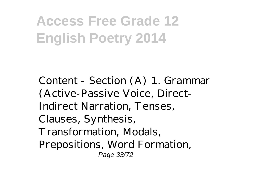Content - Section (A) 1. Grammar (Active-Passive Voice, Direct-Indirect Narration, Tenses, Clauses, Synthesis, Transformation, Modals, Prepositions, Word Formation, Page 33/72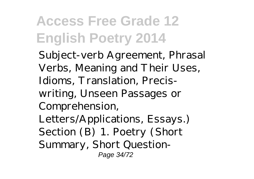Subject-verb Agreement, Phrasal Verbs, Meaning and Their Uses, Idioms, Translation, Preciswriting, Unseen Passages or Comprehension, Letters/Applications, Essays.) Section (B) 1. Poetry (Short Summary, Short Question-Page 34/72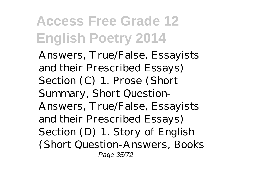Answers, True/False, Essayists and their Prescribed Essays) Section (C) 1. Prose (Short Summary, Short Question-Answers, True/False, Essayists and their Prescribed Essays) Section (D) 1. Story of English (Short Question-Answers, Books Page 35/72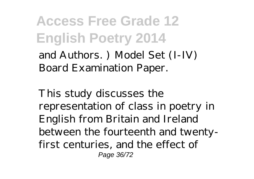and Authors. ) Model Set (I-IV) Board Examination Paper.

This study discusses the representation of class in poetry in English from Britain and Ireland between the fourteenth and twentyfirst centuries, and the effect of Page 36/72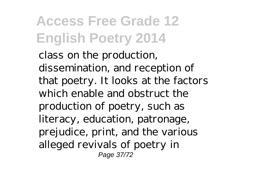class on the production, dissemination, and reception of that poetry. It looks at the factors which enable and obstruct the production of poetry, such as literacy, education, patronage, prejudice, print, and the various alleged revivals of poetry in Page 37/72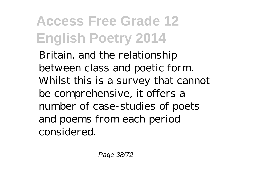Britain, and the relationship between class and poetic form. Whilst this is a survey that cannot be comprehensive, it offers a number of case-studies of poets and poems from each period considered.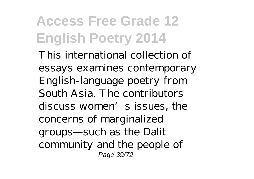This international collection of essays examines contemporary English-language poetry from South Asia. The contributors discuss women's issues, the concerns of marginalized groups—such as the Dalit community and the people of Page 39/72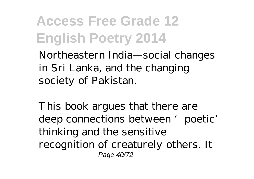Northeastern India—social changes in Sri Lanka, and the changing society of Pakistan.

This book argues that there are deep connections between 'poetic' thinking and the sensitive recognition of creaturely others. It Page 40/72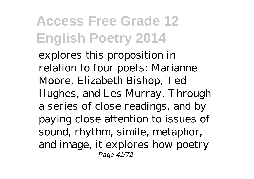explores this proposition in relation to four poets: Marianne Moore, Elizabeth Bishop, Ted Hughes, and Les Murray. Through a series of close readings, and by paying close attention to issues of sound, rhythm, simile, metaphor, and image, it explores how poetry Page 41/72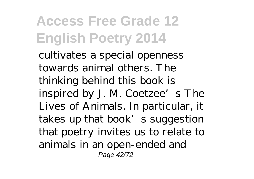cultivates a special openness towards animal others. The thinking behind this book is inspired by J. M. Coetzee's The Lives of Animals. In particular, it takes up that book's suggestion that poetry invites us to relate to animals in an open-ended and Page 42/72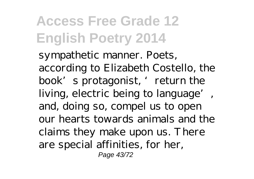sympathetic manner. Poets, according to Elizabeth Costello, the book's protagonist, 'return the living, electric being to language', and, doing so, compel us to open our hearts towards animals and the claims they make upon us. There are special affinities, for her, Page 43/72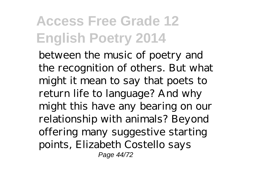between the music of poetry and the recognition of others. But what might it mean to say that poets to return life to language? And why might this have any bearing on our relationship with animals? Beyond offering many suggestive starting points, Elizabeth Costello says Page 44/72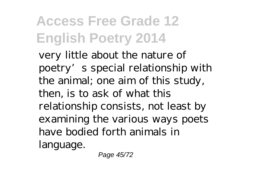very little about the nature of poetry's special relationship with the animal; one aim of this study, then, is to ask of what this relationship consists, not least by examining the various ways poets have bodied forth animals in language.

Page 45/72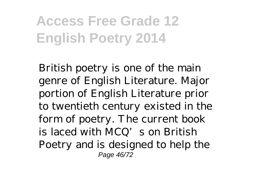British poetry is one of the main genre of English Literature. Major portion of English Literature prior to twentieth century existed in the form of poetry. The current book is laced with MCQ's on British Poetry and is designed to help the Page 46/72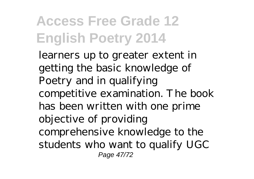learners up to greater extent in getting the basic knowledge of Poetry and in qualifying competitive examination. The book has been written with one prime objective of providing comprehensive knowledge to the students who want to qualify UGC Page 47/72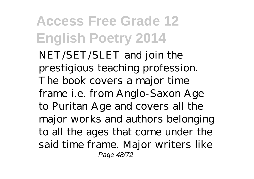NET/SET/SLET and join the prestigious teaching profession. The book covers a major time frame i.e. from Anglo-Saxon Age to Puritan Age and covers all the major works and authors belonging to all the ages that come under the said time frame. Major writers like Page 48/72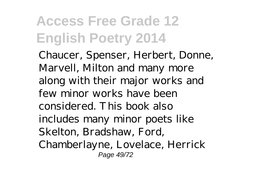Chaucer, Spenser, Herbert, Donne, Marvell, Milton and many more along with their major works and few minor works have been considered. This book also includes many minor poets like Skelton, Bradshaw, Ford, Chamberlayne, Lovelace, Herrick Page 49/72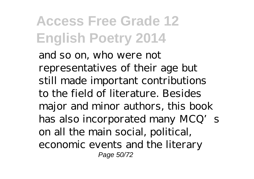and so on, who were not representatives of their age but still made important contributions to the field of literature. Besides major and minor authors, this book has also incorporated many MCQ's on all the main social, political, economic events and the literary Page 50/72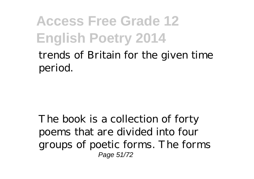trends of Britain for the given time period.

The book is a collection of forty poems that are divided into four groups of poetic forms. The forms Page 51/72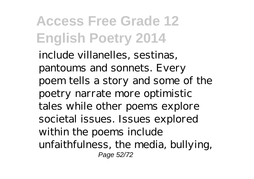include villanelles, sestinas, pantoums and sonnets. Every poem tells a story and some of the poetry narrate more optimistic tales while other poems explore societal issues. Issues explored within the poems include unfaithfulness, the media, bullying, Page 52/72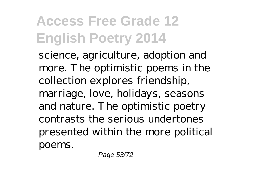science, agriculture, adoption and more. The optimistic poems in the collection explores friendship, marriage, love, holidays, seasons and nature. The optimistic poetry contrasts the serious undertones presented within the more political poems.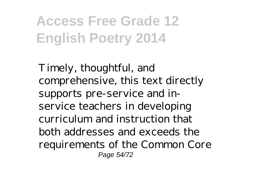Timely, thoughtful, and comprehensive, this text directly supports pre-service and inservice teachers in developing curriculum and instruction that both addresses and exceeds the requirements of the Common Core Page 54/72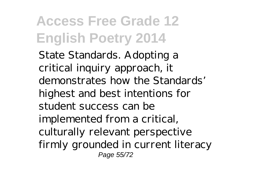State Standards. Adopting a critical inquiry approach, it demonstrates how the Standards' highest and best intentions for student success can be implemented from a critical, culturally relevant perspective firmly grounded in current literacy Page 55/72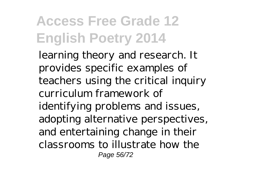learning theory and research. It provides specific examples of teachers using the critical inquiry curriculum framework of identifying problems and issues, adopting alternative perspectives, and entertaining change in their classrooms to illustrate how the Page 56/72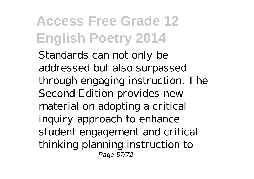Standards can not only be addressed but also surpassed through engaging instruction. The Second Edition provides new material on adopting a critical inquiry approach to enhance student engagement and critical thinking planning instruction to Page 57/72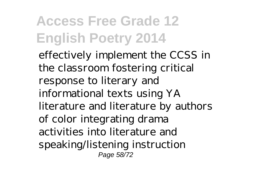effectively implement the CCSS in the classroom fostering critical response to literary and informational texts using YA literature and literature by authors of color integrating drama activities into literature and speaking/listening instruction Page 58/72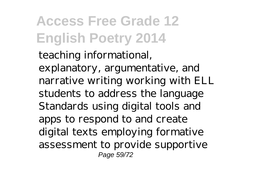teaching informational, explanatory, argumentative, and narrative writing working with ELL students to address the language Standards using digital tools and apps to respond to and create digital texts employing formative assessment to provide supportive Page 59/72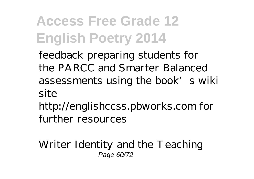feedback preparing students for the PARCC and Smarter Balanced assessments using the book's wiki site

http://englishccss.pbworks.com for further resources

Writer Identity and the Teaching Page 60/72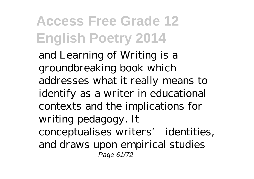and Learning of Writing is a groundbreaking book which addresses what it really means to identify as a writer in educational contexts and the implications for writing pedagogy. It conceptualises writers' identities, and draws upon empirical studies Page 61/72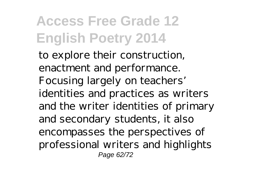to explore their construction, enactment and performance. Focusing largely on teachers' identities and practices as writers and the writer identities of primary and secondary students, it also encompasses the perspectives of professional writers and highlights Page 62/72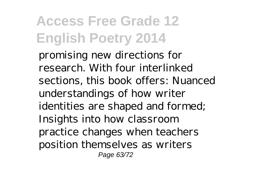promising new directions for research. With four interlinked sections, this book offers: Nuanced understandings of how writer identities are shaped and formed; Insights into how classroom practice changes when teachers position themselves as writers Page 63/72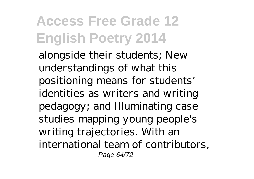alongside their students; New understandings of what this positioning means for students' identities as writers and writing pedagogy; and Illuminating case studies mapping young people's writing trajectories. With an international team of contributors, Page 64/72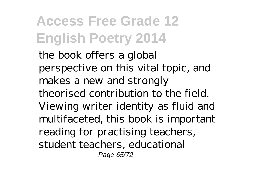the book offers a global perspective on this vital topic, and makes a new and strongly theorised contribution to the field. Viewing writer identity as fluid and multifaceted, this book is important reading for practising teachers, student teachers, educational Page 65/72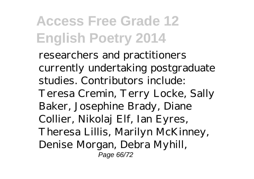researchers and practitioners currently undertaking postgraduate studies. Contributors include: Teresa Cremin, Terry Locke, Sally Baker, Josephine Brady, Diane Collier, Nikolaj Elf, Ian Eyres, Theresa Lillis, Marilyn McKinney, Denise Morgan, Debra Myhill, Page 66/72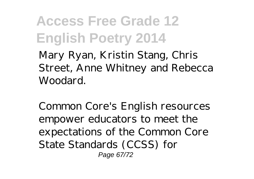Mary Ryan, Kristin Stang, Chris Street, Anne Whitney and Rebecca Woodard.

Common Core's English resources empower educators to meet the expectations of the Common Core State Standards (CCSS) for Page 67/72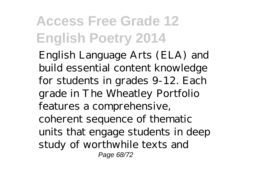English Language Arts (ELA) and build essential content knowledge for students in grades 9-12. Each grade in The Wheatley Portfolio features a comprehensive, coherent sequence of thematic units that engage students in deep study of worthwhile texts and Page 68/72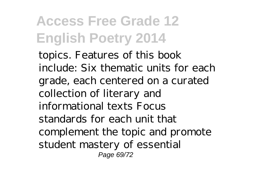topics. Features of this book include: Six thematic units for each grade, each centered on a curated collection of literary and informational texts Focus standards for each unit that complement the topic and promote student mastery of essential Page 69/72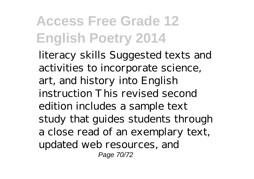literacy skills Suggested texts and activities to incorporate science, art, and history into English instruction This revised second edition includes a sample text study that guides students through a close read of an exemplary text, updated web resources, and Page 70/72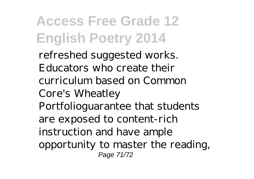refreshed suggested works. Educators who create their curriculum based on Common Core's Wheatley Portfolioguarantee that students are exposed to content-rich instruction and have ample opportunity to master the reading, Page 71/72